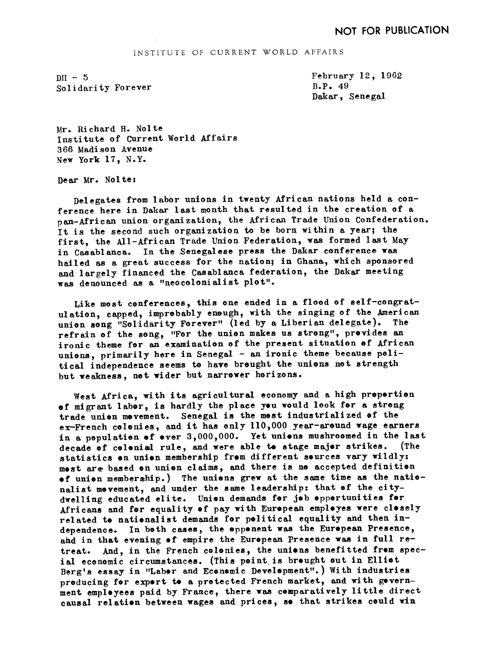## INSTITUTE OF CURRENT WORLD AFFAIRS

 $DH - 5$ Solidarity Forever February 12, 1962 B.P. 49 Dakar, Senegal

Mr. Richard H. Nolte Institute of Current World Affairs 366 Madison Avenue New York 17. N.Y.

Dear Mr. Noltes

Delegates from labor unions in twenty African nations held a conference here in Dakar last month that resulted in the creation of a pan-African union organization, the African Trade Union Confederation. It is the second such organization to be born within a year; the first, the All-African Trade Union Federation, was formed last May in Casablanca. In the Senegal ese press the Dakar conference was hailed as a great success for the nation; in Ghana, which sponsored and largely financed the Casablanca federation, the Dakar meeting was denounced as a "neocolonialist plot".

Like most conferences, this one ended in a flood of self-congratulation, capped, improbably enough, with the singing of the American union song "Solidarity Forever" (led by a Liberian delegate). The refrain of the song, "For the union makes us strong", provides an ironic theme for an examination of the present situation of African unions, primarily here in Senegal - an ironic theme because political independence seems to have brought the unions not strength but weakness, not wider but narrower horizons.

West Africa, with its agricultural economy and a high proportion of migrant labor, is hardly the place you would look for a strong trade union movement. Senegal is the most industrialized of the ex-French colonies, and it has only 110,000 year-around wage earners in a population of over 3,000,000. Yet unions mushroomed in the last decade of colonial rule, and were able to stage major strikes. (The statistics on union membership from different sources vary wildly: most are based on union claims, and there is no accepted definition of union membership.) The unions grew at the same time as the nationalist mevement, and under the same leadership: that of the citydwelling educated elite. Union demands for job opportunities for Africans and for equality of pay with European employes were closely related to nationalist demands for political equality and then independence. In both cases, the opponent was the European Presence, ahd in that evening of empire the European Presence was in full retreat. And, in the French colonies, the unions benefitted from special economic circumstances. (This point, is brought out in Elliot Berg's essay in "Labor and Economic Development".) With industries producing for export to a protected French market, and with government employees paid by France, there was comparatively little direct causal relation between wages and prices, so that strikes could win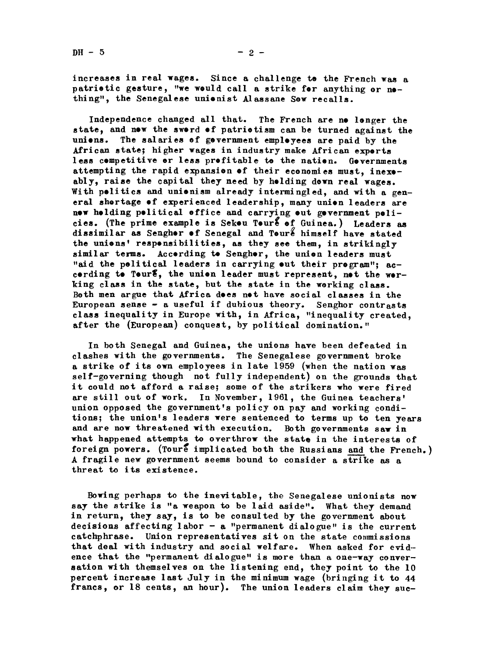increases in real wages. Since a challenge te the French was a patrietic gesture, "we weuld call a strike fer anything or nething", the Senegalese unionist Alassane Sew recalls.

Independence changed all that. The French are ne lenger the state, and new the swerd of patriotism can be turned against the uniens. The salaries ef gevernment empleyees are paid by the African state; higher wages in industry make African experts less cempetitive er less prefitable to the natien. Gevernments attempting the rapid expansion of their economies must, inexoably, raise the capital they need by helding down real wages. With pelitics and unienism already intermingled, and with a general shertage of experienced leadership, many union leaders are new helding pelitical effice and carrying eut gevernment pelicies. (The prime example is Sekou Toure of Guinea.) Leaders as dissimilar as Sengher of Senegal and Toure himself have stated the unions' responsibilities, as they see them, in strikingly similar terms. Accerding to Sengher, the union leaders must "aid the pelitical leaders in carrying out their program"; accerding to Teur $\epsilon$ , the union leader must represent, not the werking class in the state, but the state in the working class. Both men argue that Africa dees net have social classes in the European sense  $-$  a useful if dubious theory. Senghor contrasts class inequality in Europe with, in Africa, "inequality created, after the (European) conquest, by political domination."

In both Senegal and Guinea, the unions have been defeated in cl ashes with the governments. The Senegalese government broke a strike of its own employees in late 1959 (when the nation was self-governing though not fully independent) on the grounds that it could not afford a raise; some of the strikers who were fired are still out of work. In November, 1961, the Guinea teachers' union opposed the government's policy on pay and working conditions; the union's leaders were sentenced to terms up to ten years and are now threatened with execution. Both governments saw in what happened attempts to overthrow the state in the interests of foreign powers. (Toure implicated both the Russians and the French.) A fragile new government seems bound to consider a strike as a threat to its existence.

Bowing perhaps to the inevitable, the Senegalese unionists now say the strike is "a weapon to be laid aside". What they demand in return, they say, is to be consulted by the government about decisions affecting labor  $-$  a "permanent dialogue" is the current catchphrase. Union representatives sit on the state commissions that deal with industry and social welfare. When asked for evidence that the "permanent dialogue" is more than a one-way conversation with themselves on the listening end, they point to the 10 percent increase last July in the minimum wage (bringing it to 44 francs, or 18 cents, an hour). The union leaders claim they suc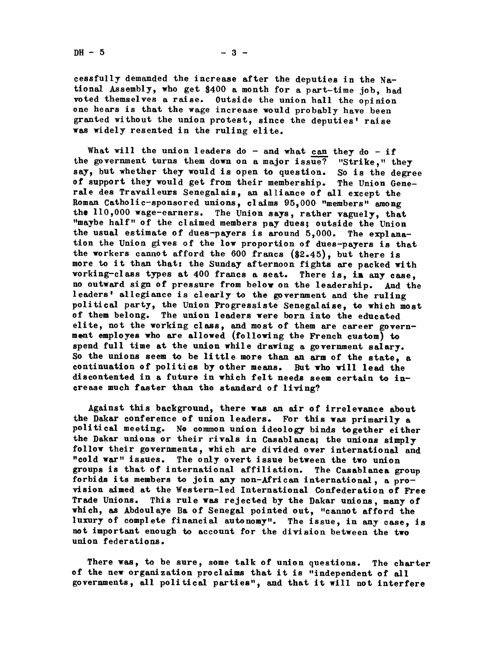$DH - 5$ 

cessfully demanded the increase after the deputies in the National Assembly, who get \$400 a month for a part-time job, had voted themselves a raise. Outside the union hall the opinion one hears is that the wage increase would probably have been granted without the union protest, since the deputies' raise was widely resented in the ruling elite.

What will the union leaders do - and what can they do - if the government turns them down on a major issue? "Strike," they say, but whether they would is open to question. So is the degree of support they would get from their membership. The Union Generale des Travileurs Senegalais, an alliance of all except the Roman Catholic-sponsored unions, claims 95,000 "members" among the  $110,000$  wage-earners. The Union says, rather vaguely, that "maybe half" of the claimed members pay dues; outside the Union the usual estimate of dues-payers is around  $5,000$ . The explanation the Union gives of the low proportion of dues-payers is that the workers cannot afford the  $600$  francs  $(82.45)$ , but there is more to it than that: the Sunday afternoon fights are packed with working-class types at 400 francs a seat. There is, in any case, no outward sign of pressure from below on the leadership. And the leaders' allegiance is clearly to the government and the ruling political party, the Union Progressiste Senegalaise, to which most of them belong. The union leaders were born into the educated elite, not the working class, and most of them are career government employes who are allowed (following the French custom) to spend full time at the union while drawing a government salary. So the unions seem to be little more than an arm of the state, a continuation of politics by other means. But who will lead the discontented in a future in which felt needs seem certain to crease much faster than the standard of living?

Against this background, there was an air of irrelevance about the Dakar conference of union leaders. For this was primarily a political meeting. No common union ideology binds together either the Dakar unions or their rivals in Casablanca; the unions simply follow their governments, which are divided over international and "cold war" issues. The only overt issue between the two union groups is that of international affiliation. The Casablanca group forbids its members to join any non-African international, a provision aimed at the Western-led International Confederation of Free Trade Unions. This rule was rejected by the Dakar unions, many of which, as Abdoulaye Ba of Senegal pointed out, "cannot afford the luxury of complete financial autonomy". The issue, in any case, is not important enough to account for the division between the two union federations.

There was, to be sure, some talk of union questions. The charter of the new organization proclaims that it is "independent of all governments all political parties" and that it will not interfere